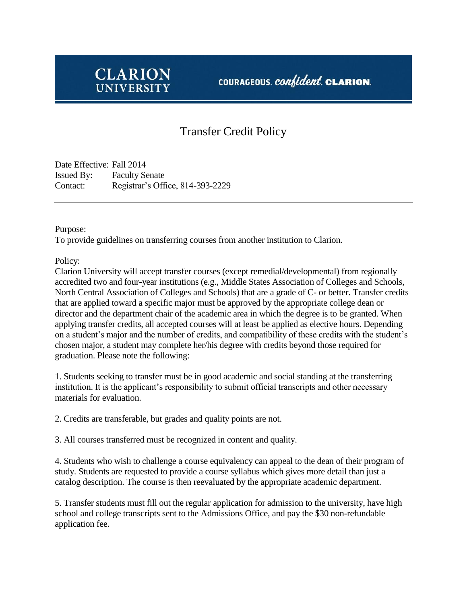

## Transfer Credit Policy

Date Effective: Fall 2014 Issued By: Faculty Senate Contact: Registrar's Office, 814-393-2229

Purpose:

To provide guidelines on transferring courses from another institution to Clarion.

Policy:

Clarion University will accept transfer courses (except remedial/developmental) from regionally accredited two and four-year institutions (e.g., Middle States Association of Colleges and Schools, North Central Association of Colleges and Schools) that are a grade of C- or better. Transfer credits that are applied toward a specific major must be approved by the appropriate college dean or director and the department chair of the academic area in which the degree is to be granted. When applying transfer credits, all accepted courses will at least be applied as elective hours. Depending on a student's major and the number of credits, and compatibility of these credits with the student's chosen major, a student may complete her/his degree with credits beyond those required for graduation. Please note the following:

1. Students seeking to transfer must be in good academic and social standing at the transferring institution. It is the applicant's responsibility to submit official transcripts and other necessary materials for evaluation.

2. Credits are transferable, but grades and quality points are not.

3. All courses transferred must be recognized in content and quality.

4. Students who wish to challenge a course equivalency can appeal to the dean of their program of study. Students are requested to provide a course syllabus which gives more detail than just a catalog description. The course is then reevaluated by the appropriate academic department.

5. Transfer students must fill out the regular application for admission to the university, have high school and college transcripts sent to the Admissions Office, and pay the \$30 non-refundable application fee.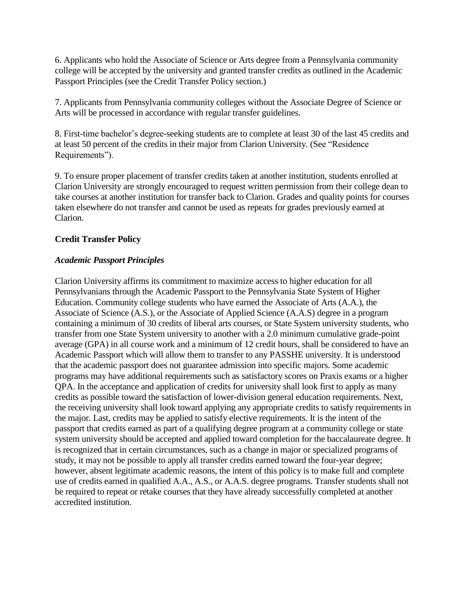6. Applicants who hold the Associate of Science or Arts degree from a Pennsylvania community college will be accepted by the university and granted transfer credits as outlined in the Academic Passport Principles (see the Credit Transfer Policy section.)

7. Applicants from Pennsylvania community colleges without the Associate Degree of Science or Arts will be processed in accordance with regular transfer guidelines.

8. First-time bachelor's degree-seeking students are to complete at least 30 of the last 45 credits and at least 50 percent of the credits in their major from Clarion University. (See "Residence Requirements").

9. To ensure proper placement of transfer credits taken at another institution, students enrolled at Clarion University are strongly encouraged to request written permission from their college dean to take courses at another institution for transfer back to Clarion. Grades and quality points for courses taken elsewhere do not transfer and cannot be used as repeats for grades previously earned at Clarion.

## **Credit Transfer Policy**

## *Academic Passport Principles*

Clarion University affirms its commitment to maximize access to higher education for all Pennsylvanians through the Academic Passport to the Pennsylvania State System of Higher Education. Community college students who have earned the Associate of Arts (A.A.), the Associate of Science (A.S.), or the Associate of Applied Science (A.A.S) degree in a program containing a minimum of 30 credits of liberal arts courses, or State System university students, who transfer from one State System university to another with a 2.0 minimum cumulative grade-point average (GPA) in all course work and a minimum of 12 credit hours, shall be considered to have an Academic Passport which will allow them to transfer to any PASSHE university. It is understood that the academic passport does not guarantee admission into specific majors. Some academic programs may have additional requirements such as satisfactory scores on Praxis exams or a higher QPA. In the acceptance and application of credits for university shall look first to apply as many credits as possible toward the satisfaction of lower-division general education requirements. Next, the receiving university shall look toward applying any appropriate credits to satisfy requirements in the major. Last, credits may be applied to satisfy elective requirements. It is the intent of the passport that credits earned as part of a qualifying degree program at a community college or state system university should be accepted and applied toward completion for the baccalaureate degree. It is recognized that in certain circumstances, such as a change in major or specialized programs of study, it may not be possible to apply all transfer credits earned toward the four-year degree; however, absent legitimate academic reasons, the intent of this policy is to make full and complete use of credits earned in qualified A.A., A.S., or A.A.S. degree programs. Transfer students shall not be required to repeat or retake courses that they have already successfully completed at another accredited institution.